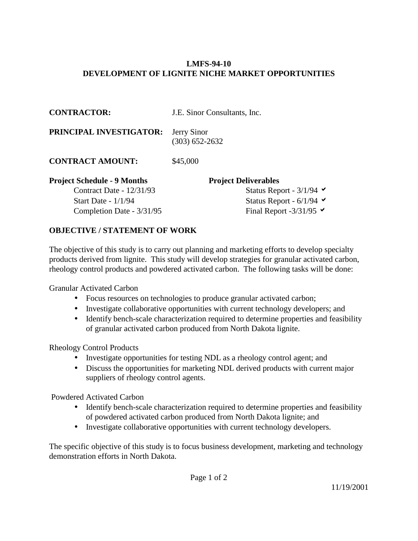## **LMFS-94-10 DEVELOPMENT OF LIGNITE NICHE MARKET OPPORTUNITIES**

| <b>CONTRACTOR:</b>                 | J.E. Sinor Consultants, Inc.                   |
|------------------------------------|------------------------------------------------|
| PRINCIPAL INVESTIGATOR:            | Jerry Sinor<br>$(303)$ 652-2632                |
| <b>CONTRACT AMOUNT:</b>            | \$45,000                                       |
| <b>Project Schedule - 9 Months</b> | <b>Project Deliverables</b>                    |
| Contract Date - $12/31/93$         | Status Report - $3/1/94$                       |
| Start Date - $1/1/94$              | Status Report - $6/1/94$ $\blacktriangleright$ |
| Completion Date - 3/31/95          | Final Report -3/31/95 $\blacktriangleright$    |

## **OBJECTIVE / STATEMENT OF WORK**

The objective of this study is to carry out planning and marketing efforts to develop specialty products derived from lignite. This study will develop strategies for granular activated carbon, rheology control products and powdered activated carbon. The following tasks will be done:

Granular Activated Carbon

- Focus resources on technologies to produce granular activated carbon;
- Investigate collaborative opportunities with current technology developers; and
- Identify bench-scale characterization required to determine properties and feasibility of granular activated carbon produced from North Dakota lignite.

Rheology Control Products

- Investigate opportunities for testing NDL as a rheology control agent; and
- Discuss the opportunities for marketing NDL derived products with current major suppliers of rheology control agents.

Powdered Activated Carbon

- Identify bench-scale characterization required to determine properties and feasibility of powdered activated carbon produced from North Dakota lignite; and
- Investigate collaborative opportunities with current technology developers.

The specific objective of this study is to focus business development, marketing and technology demonstration efforts in North Dakota.